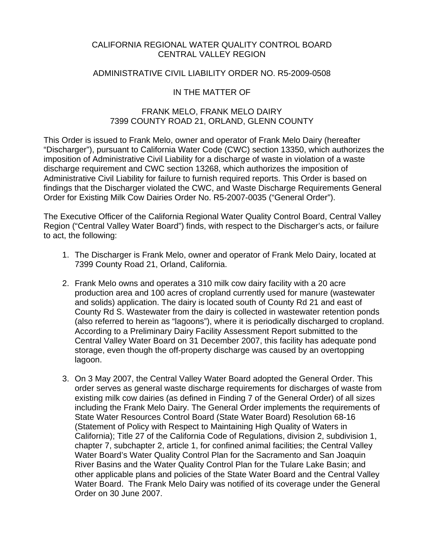### CALIFORNIA REGIONAL WATER QUALITY CONTROL BOARD CENTRAL VALLEY REGION

### ADMINISTRATIVE CIVIL LIABILITY ORDER NO. R5-2009-0508

## IN THE MATTER OF

### FRANK MELO, FRANK MELO DAIRY 7399 COUNTY ROAD 21, ORLAND, GLENN COUNTY

This Order is issued to Frank Melo, owner and operator of Frank Melo Dairy (hereafter "Discharger"), pursuant to California Water Code (CWC) section 13350, which authorizes the imposition of Administrative Civil Liability for a discharge of waste in violation of a waste discharge requirement and CWC section 13268, which authorizes the imposition of Administrative Civil Liability for failure to furnish required reports. This Order is based on findings that the Discharger violated the CWC, and Waste Discharge Requirements General Order for Existing Milk Cow Dairies Order No. R5-2007-0035 ("General Order").

The Executive Officer of the California Regional Water Quality Control Board, Central Valley Region ("Central Valley Water Board") finds, with respect to the Discharger's acts, or failure to act, the following:

- 1. The Discharger is Frank Melo, owner and operator of Frank Melo Dairy, located at 7399 County Road 21, Orland, California.
- 2. Frank Melo owns and operates a 310 milk cow dairy facility with a 20 acre production area and 100 acres of cropland currently used for manure (wastewater and solids) application. The dairy is located south of County Rd 21 and east of County Rd S. Wastewater from the dairy is collected in wastewater retention ponds (also referred to herein as "lagoons"), where it is periodically discharged to cropland. According to a Preliminary Dairy Facility Assessment Report submitted to the Central Valley Water Board on 31 December 2007, this facility has adequate pond storage, even though the off-property discharge was caused by an overtopping lagoon.
- 3. On 3 May 2007, the Central Valley Water Board adopted the General Order. This order serves as general waste discharge requirements for discharges of waste from existing milk cow dairies (as defined in Finding 7 of the General Order) of all sizes including the Frank Melo Dairy. The General Order implements the requirements of State Water Resources Control Board (State Water Board) Resolution 68-16 (Statement of Policy with Respect to Maintaining High Quality of Waters in California); Title 27 of the California Code of Regulations, division 2, subdivision 1, chapter 7, subchapter 2, article 1, for confined animal facilities; the Central Valley Water Board's Water Quality Control Plan for the Sacramento and San Joaquin River Basins and the Water Quality Control Plan for the Tulare Lake Basin; and other applicable plans and policies of the State Water Board and the Central Valley Water Board. The Frank Melo Dairy was notified of its coverage under the General Order on 30 June 2007.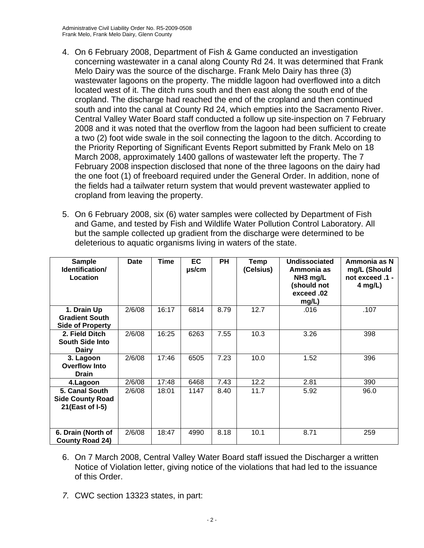- 4. On 6 February 2008, Department of Fish & Game conducted an investigation concerning wastewater in a canal along County Rd 24. It was determined that Frank Melo Dairy was the source of the discharge. Frank Melo Dairy has three (3) wastewater lagoons on the property. The middle lagoon had overflowed into a ditch located west of it. The ditch runs south and then east along the south end of the cropland. The discharge had reached the end of the cropland and then continued south and into the canal at County Rd 24, which empties into the Sacramento River. Central Valley Water Board staff conducted a follow up site-inspection on 7 February 2008 and it was noted that the overflow from the lagoon had been sufficient to create a two (2) foot wide swale in the soil connecting the lagoon to the ditch. According to the Priority Reporting of Significant Events Report submitted by Frank Melo on 18 March 2008, approximately 1400 gallons of wastewater left the property. The 7 February 2008 inspection disclosed that none of the three lagoons on the dairy had the one foot (1) of freeboard required under the General Order. In addition, none of the fields had a tailwater return system that would prevent wastewater applied to cropland from leaving the property.
- 5. On 6 February 2008, six (6) water samples were collected by Department of Fish and Game, and tested by Fish and Wildlife Water Pollution Control Laboratory. All but the sample collected up gradient from the discharge were determined to be deleterious to aquatic organisms living in waters of the state.

| <b>Sample</b><br>Identification/<br>Location                    | <b>Date</b> | Time  | EC.<br>$\mu$ s/cm | <b>PH</b> | Temp<br>(Celsius) | Undissociated<br>Ammonia as<br>NH <sub>3</sub> mg/L<br>(should not<br>exceed.02<br>mg/L) | Ammonia as N<br>mg/L (Should<br>not exceed .1 -<br>4 mg/L) |
|-----------------------------------------------------------------|-------------|-------|-------------------|-----------|-------------------|------------------------------------------------------------------------------------------|------------------------------------------------------------|
| 1. Drain Up<br><b>Gradient South</b><br><b>Side of Property</b> | 2/6/08      | 16:17 | 6814              | 8.79      | 12.7              | .016                                                                                     | .107                                                       |
| 2. Field Ditch<br><b>South Side Into</b><br><b>Dairy</b>        | 2/6/08      | 16:25 | 6263              | 7.55      | 10.3              | 3.26                                                                                     | 398                                                        |
| 3. Lagoon<br><b>Overflow Into</b><br><b>Drain</b>               | 2/6/08      | 17:46 | 6505              | 7.23      | 10.0              | 1.52                                                                                     | 396                                                        |
| 4.Lagoon                                                        | 2/6/08      | 17:48 | 6468              | 7.43      | 12.2              | 2.81                                                                                     | 390                                                        |
| 5. Canal South<br><b>Side County Road</b><br>21(East of I-5)    | 2/6/08      | 18:01 | 1147              | 8.40      | 11.7              | 5.92                                                                                     | 96.0                                                       |
| 6. Drain (North of<br><b>County Road 24)</b>                    | 2/6/08      | 18:47 | 4990              | 8.18      | 10.1              | 8.71                                                                                     | 259                                                        |

- 6. On 7 March 2008, Central Valley Water Board staff issued the Discharger a written Notice of Violation letter, giving notice of the violations that had led to the issuance of this Order.
- *7.* CWC section 13323 states, in part: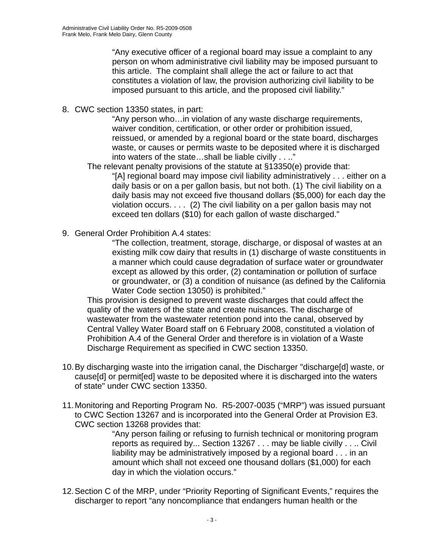"Any executive officer of a regional board may issue a complaint to any person on whom administrative civil liability may be imposed pursuant to this article. The complaint shall allege the act or failure to act that constitutes a violation of law, the provision authorizing civil liability to be imposed pursuant to this article, and the proposed civil liability."

8. CWC section 13350 states, in part:

"Any person who…in violation of any waste discharge requirements, waiver condition, certification, or other order or prohibition issued, reissued, or amended by a regional board or the state board, discharges waste, or causes or permits waste to be deposited where it is discharged into waters of the state…shall be liable civilly . . .."

The relevant penalty provisions of the statute at §13350(e) provide that:

"[A] regional board may impose civil liability administratively . . . either on a daily basis or on a per gallon basis, but not both. (1) The civil liability on a daily basis may not exceed five thousand dollars (\$5,000) for each day the violation occurs. . . . (2) The civil liability on a per gallon basis may not exceed ten dollars (\$10) for each gallon of waste discharged."

9. General Order Prohibition A.4 states:

"The collection, treatment, storage, discharge, or disposal of wastes at an existing milk cow dairy that results in (1) discharge of waste constituents in a manner which could cause degradation of surface water or groundwater except as allowed by this order, (2) contamination or pollution of surface or groundwater, or (3) a condition of nuisance (as defined by the California Water Code section 13050) is prohibited."

This provision is designed to prevent waste discharges that could affect the quality of the waters of the state and create nuisances. The discharge of wastewater from the wastewater retention pond into the canal, observed by Central Valley Water Board staff on 6 February 2008, constituted a violation of Prohibition A.4 of the General Order and therefore is in violation of a Waste Discharge Requirement as specified in CWC section 13350.

- 10. By discharging waste into the irrigation canal, the Discharger "discharge[d] waste, or cause[d] or permit[ed] waste to be deposited where it is discharged into the waters of state" under CWC section 13350.
- 11. Monitoring and Reporting Program No. R5-2007-0035 ("MRP") was issued pursuant to CWC Section 13267 and is incorporated into the General Order at Provision E3. CWC section 13268 provides that:

"Any person failing or refusing to furnish technical or monitoring program reports as required by... Section 13267 . . . may be liable civilly . . .. Civil liability may be administratively imposed by a regional board . . . in an amount which shall not exceed one thousand dollars (\$1,000) for each day in which the violation occurs."

12. Section C of the MRP, under "Priority Reporting of Significant Events," requires the discharger to report "any noncompliance that endangers human health or the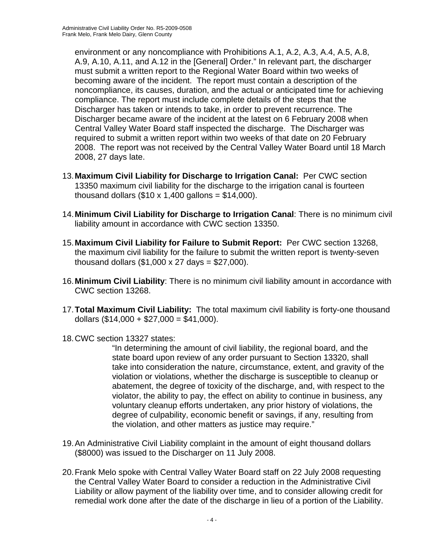environment or any noncompliance with Prohibitions A.1, A.2, A.3, A.4, A.5, A.8, A.9, A.10, A.11, and A.12 in the [General] Order." In relevant part, the discharger must submit a written report to the Regional Water Board within two weeks of becoming aware of the incident. The report must contain a description of the noncompliance, its causes, duration, and the actual or anticipated time for achieving compliance. The report must include complete details of the steps that the Discharger has taken or intends to take, in order to prevent recurrence. The Discharger became aware of the incident at the latest on 6 February 2008 when Central Valley Water Board staff inspected the discharge. The Discharger was required to submit a written report within two weeks of that date on 20 February 2008. The report was not received by the Central Valley Water Board until 18 March 2008, 27 days late.

- 13. **Maximum Civil Liability for Discharge to Irrigation Canal:** Per CWC section 13350 maximum civil liability for the discharge to the irrigation canal is fourteen thousand dollars  $(\$10 \times 1,400$  gallons =  $\$14,000$ ).
- 14. **Minimum Civil Liability for Discharge to Irrigation Canal**: There is no minimum civil liability amount in accordance with CWC section 13350.
- 15. **Maximum Civil Liability for Failure to Submit Report:** Per CWC section 13268, the maximum civil liability for the failure to submit the written report is twenty-seven thousand dollars  $(\$1,000 \times 27 \text{ days} = \$27,000$ ).
- 16. **Minimum Civil Liability**: There is no minimum civil liability amount in accordance with CWC section 13268.
- 17. **Total Maximum Civil Liability:** The total maximum civil liability is forty-one thousand dollars  $(\$14,000 + \$27,000 = \$41,000)$ .
- 18. CWC section 13327 states:

"In determining the amount of civil liability, the regional board, and the state board upon review of any order pursuant to Section 13320, shall take into consideration the nature, circumstance, extent, and gravity of the violation or violations, whether the discharge is susceptible to cleanup or abatement, the degree of toxicity of the discharge, and, with respect to the violator, the ability to pay, the effect on ability to continue in business, any voluntary cleanup efforts undertaken, any prior history of violations, the degree of culpability, economic benefit or savings, if any, resulting from the violation, and other matters as justice may require."

- 19. An Administrative Civil Liability complaint in the amount of eight thousand dollars (\$8000) was issued to the Discharger on 11 July 2008.
- 20. Frank Melo spoke with Central Valley Water Board staff on 22 July 2008 requesting the Central Valley Water Board to consider a reduction in the Administrative Civil Liability or allow payment of the liability over time, and to consider allowing credit for remedial work done after the date of the discharge in lieu of a portion of the Liability.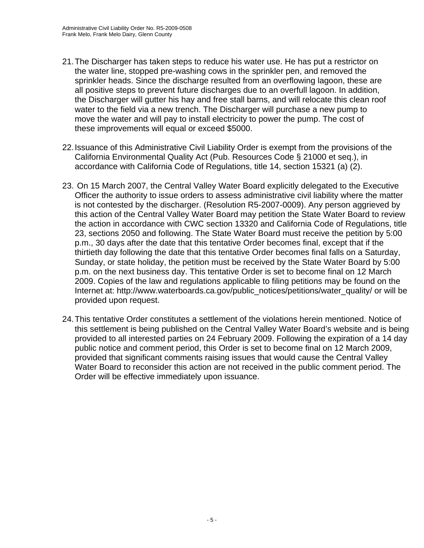- 21. The Discharger has taken steps to reduce his water use. He has put a restrictor on the water line, stopped pre-washing cows in the sprinkler pen, and removed the sprinkler heads. Since the discharge resulted from an overflowing lagoon, these are all positive steps to prevent future discharges due to an overfull lagoon. In addition, the Discharger will gutter his hay and free stall barns, and will relocate this clean roof water to the field via a new trench. The Discharger will purchase a new pump to move the water and will pay to install electricity to power the pump. The cost of these improvements will equal or exceed \$5000.
- 22. Issuance of this Administrative Civil Liability Order is exempt from the provisions of the California Environmental Quality Act (Pub. Resources Code § 21000 et seq.), in accordance with California Code of Regulations, title 14, section 15321 (a) (2).
- 23. On 15 March 2007, the Central Valley Water Board explicitly delegated to the Executive Officer the authority to issue orders to assess administrative civil liability where the matter is not contested by the discharger. (Resolution R5-2007-0009). Any person aggrieved by this action of the Central Valley Water Board may petition the State Water Board to review the action in accordance with CWC section 13320 and California Code of Regulations, title 23, sections 2050 and following. The State Water Board must receive the petition by 5:00 p.m., 30 days after the date that this tentative Order becomes final, except that if the thirtieth day following the date that this tentative Order becomes final falls on a Saturday, Sunday, or state holiday, the petition must be received by the State Water Board by 5:00 p.m. on the next business day. This tentative Order is set to become final on 12 March 2009. Copies of the law and regulations applicable to filing petitions may be found on the Internet at: http://www.waterboards.ca.gov/public\_notices/petitions/water\_quality/ or will be provided upon request.
- 24. This tentative Order constitutes a settlement of the violations herein mentioned. Notice of this settlement is being published on the Central Valley Water Board's website and is being provided to all interested parties on 24 February 2009. Following the expiration of a 14 day public notice and comment period, this Order is set to become final on 12 March 2009, provided that significant comments raising issues that would cause the Central Valley Water Board to reconsider this action are not received in the public comment period. The Order will be effective immediately upon issuance.